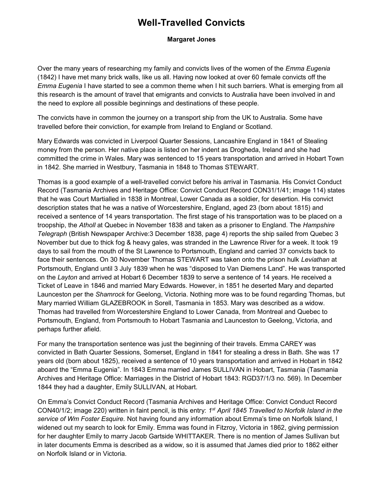## Well-Travelled Convicts

## Margaret Jones

Over the many years of researching my family and convicts lives of the women of the *Emma Eugenia* (1842) I have met many brick walls, like us all. Having now looked at over 60 female convicts off the Emma Eugenia I have started to see a common theme when I hit such barriers. What is emerging from all this research is the amount of travel that emigrants and convicts to Australia have been involved in and the need to explore all possible beginnings and destinations of these people.

The convicts have in common the journey on a transport ship from the UK to Australia. Some have travelled before their conviction, for example from Ireland to England or Scotland.

Mary Edwards was convicted in Liverpool Quarter Sessions, Lancashire England in 1841 of Stealing money from the person. Her native place is listed on her indent as Drogheda, Ireland and she had committed the crime in Wales. Mary was sentenced to 15 years transportation and arrived in Hobart Town in 1842. She married in Westbury, Tasmania in 1848 to Thomas STEWART.

Thomas is a good example of a well-travelled convict before his arrival in Tasmania. His Convict Conduct Record (Tasmania Archives and Heritage Office: Convict Conduct Record CON31/1/41; image 114) states that he was Court Martialled in 1838 in Montreal, Lower Canada as a soldier, for desertion. His convict description states that he was a native of Worcestershire, England, aged 23 (born about 1815) and received a sentence of 14 years transportation. The first stage of his transportation was to be placed on a troopship, the Atholl at Quebec in November 1838 and taken as a prisoner to England. The Hampshire Telegraph (British Newspaper Archive:3 December 1838, page 4) reports the ship sailed from Quebec 3 November but due to thick fog & heavy gales, was stranded in the Lawrence River for a week. It took 19 days to sail from the mouth of the St Lawrence to Portsmouth, England and carried 37 convicts back to face their sentences. On 30 November Thomas STEWART was taken onto the prison hulk Leviathan at Portsmouth, England until 3 July 1839 when he was "disposed to Van Diemens Land". He was transported on the Layton and arrived at Hobart 6 December 1839 to serve a sentence of 14 years. He received a Ticket of Leave in 1846 and married Mary Edwards. However, in 1851 he deserted Mary and departed Launceston per the Shamrock for Geelong, Victoria. Nothing more was to be found regarding Thomas, but Mary married William GLAZEBROOK in Sorell, Tasmania in 1853. Mary was described as a widow. Thomas had travelled from Worcestershire England to Lower Canada, from Montreal and Quebec to Portsmouth, England, from Portsmouth to Hobart Tasmania and Launceston to Geelong, Victoria, and perhaps further afield.

For many the transportation sentence was just the beginning of their travels. Emma CAREY was convicted in Bath Quarter Sessions, Somerset, England in 1841 for stealing a dress in Bath. She was 17 years old (born about 1825), received a sentence of 10 years transportation and arrived in Hobart in 1842 aboard the "Emma Eugenia". In 1843 Emma married James SULLIVAN in Hobart, Tasmania (Tasmania Archives and Heritage Office: Marriages in the District of Hobart 1843: RGD37/1/3 no. 569). In December 1844 they had a daughter, Emily SULLIVAN, at Hobart.

On Emma's Convict Conduct Record (Tasmania Archives and Heritage Office: Convict Conduct Record CON40/1/2; image 220) written in faint pencil, is this entry: 1<sup>st</sup> April 1845 Travelled to Norfolk Island in the service of Wm Foster Esquire. Not having found any information about Emma's time on Norfolk Island, I widened out my search to look for Emily. Emma was found in Fitzroy, Victoria in 1862, giving permission for her daughter Emily to marry Jacob Gartside WHITTAKER. There is no mention of James Sullivan but in later documents Emma is described as a widow, so it is assumed that James died prior to 1862 either on Norfolk Island or in Victoria.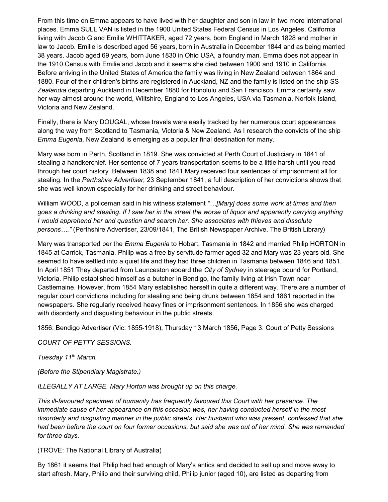From this time on Emma appears to have lived with her daughter and son in law in two more international places. Emma SULLIVAN is listed in the 1900 United States Federal Census in Los Angeles, California living with Jacob G and Emilie WHITTAKER, aged 72 years, born England in March 1828 and mother in law to Jacob. Emilie is described aged 56 years, born in Australia in December 1844 and as being married 38 years. Jacob aged 69 years, born June 1830 in Ohio USA, a foundry man. Emma does not appear in the 1910 Census with Emilie and Jacob and it seems she died between 1900 and 1910 in California. Before arriving in the United States of America the family was living in New Zealand between 1864 and 1880. Four of their children's births are registered in Auckland, NZ and the family is listed on the ship SS Zealandia departing Auckland in December 1880 for Honolulu and San Francisco. Emma certainly saw her way almost around the world, Wiltshire, England to Los Angeles, USA via Tasmania, Norfolk Island, Victoria and New Zealand.

Finally, there is Mary DOUGAL, whose travels were easily tracked by her numerous court appearances along the way from Scotland to Tasmania, Victoria & New Zealand. As I research the convicts of the ship Emma Eugenia, New Zealand is emerging as a popular final destination for many.

Mary was born in Perth, Scotland in 1819. She was convicted at Perth Court of Justiciary in 1841 of stealing a handkerchief. Her sentence of 7 years transportation seems to be a little harsh until you read through her court history. Between 1838 and 1841 Mary received four sentences of imprisonment all for stealing. In the Perthshire Advertiser, 23 September 1841, a full description of her convictions shows that she was well known especially for her drinking and street behaviour.

William WOOD, a policeman said in his witness statement "... [Mary] does some work at times and then goes a drinking and stealing. If I saw her in the street the worse of liquor and apparently carrying anything I would apprehend her and question and search her. She associates with thieves and dissolute persons…." (Perthshire Advertiser, 23/09/1841, The British Newspaper Archive, The British Library)

Mary was transported per the *Emma Eugenia* to Hobart, Tasmania in 1842 and married Philip HORTON in 1845 at Carrick, Tasmania. Philip was a free by servitude farmer aged 32 and Mary was 23 years old. She seemed to have settled into a quiet life and they had three children in Tasmania between 1846 and 1851. In April 1851 They departed from Launceston aboard the City of Sydney in steerage bound for Portland, Victoria. Philip established himself as a butcher in Bendigo, the family living at Irish Town near Castlemaine. However, from 1854 Mary established herself in quite a different way. There are a number of regular court convictions including for stealing and being drunk between 1854 and 1861 reported in the newspapers. She regularly received heavy fines or imprisonment sentences. In 1856 she was charged with disorderly and disgusting behaviour in the public streets.

1856: Bendigo Advertiser (Vic: 1855-1918), Thursday 13 March 1856, Page 3: Court of Petty Sessions

COURT OF PETTY SESSIONS.

Tuesday 11<sup>th</sup> March.

(Before the Stipendiary Magistrate.)

ILLEGALLY AT LARGE. Mary Horton was brought up on this charge.

This ill-favoured specimen of humanity has frequently favoured this Court with her presence. The immediate cause of her appearance on this occasion was, her having conducted herself in the most disorderly and disgusting manner in the public streets. Her husband who was present, confessed that she had been before the court on four former occasions, but said she was out of her mind. She was remanded for three days.

(TROVE: The National Library of Australia)

By 1861 it seems that Philip had had enough of Mary's antics and decided to sell up and move away to start afresh. Mary, Philip and their surviving child, Philip junior (aged 10), are listed as departing from